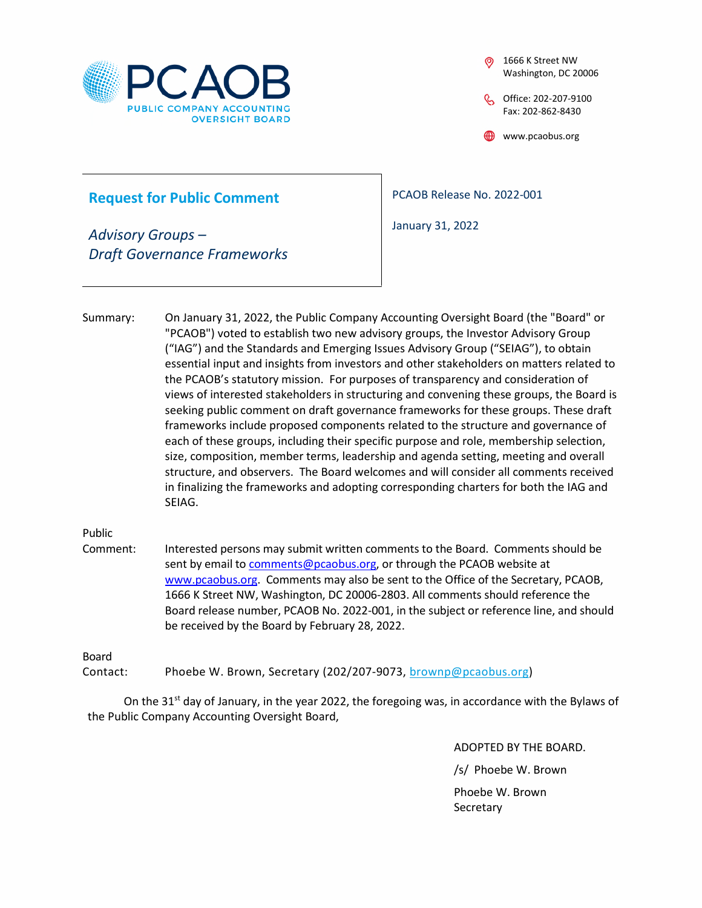

1666 K Street NW Washington, DC 20006

Office: 202-207-9100 Fax: 202-862-8430

www.pcaobus.org

## **Request for Public Comment**

*Advisory Groups – Draft Governance Frameworks* PCAOB Release No. 2022-001

January 31, 2022

Summary: On January 31, 2022, the Public Company Accounting Oversight Board (the "Board" or "PCAOB") voted to establish two new advisory groups, the Investor Advisory Group ("IAG") and the Standards and Emerging Issues Advisory Group ("SEIAG"), to obtain essential input and insights from investors and other stakeholders on matters related to the PCAOB's statutory mission. For purposes of transparency and consideration of views of interested stakeholders in structuring and convening these groups, the Board is seeking public comment on draft governance frameworks for these groups. These draft frameworks include proposed components related to the structure and governance of each of these groups, including their specific purpose and role, membership selection, size, composition, member terms, leadership and agenda setting, meeting and overall structure, and observers. The Board welcomes and will consider all comments received in finalizing the frameworks and adopting corresponding charters for both the IAG and SEIAG.

Public

Comment: Interested persons may submit written comments to the Board. Comments should be sent by email to [comments@pcaobus.org](mailto:comments@pcaobus.org), or through the PCAOB website at [www.pcaobus.org.](http://www.pcaobus.org/) Comments may also be sent to the Office of the Secretary, PCAOB, 1666 K Street NW, Washington, DC 20006-2803. All comments should reference the Board release number, PCAOB No. 2022-001, in the subject or reference line, and should be received by the Board by February 28, 2022.

Board

Contact: Phoebe W. Brown, Secretary (202/207-9073, [brownp@pcaobus.org](mailto:brownp@pcaobus.org))

On the 31st day of January, in the year 2022, the foregoing was, in accordance with the Bylaws of the Public Company Accounting Oversight Board,

> ADOPTED BY THE BOARD. /s/ Phoebe W. Brown Phoebe W. Brown **Secretary**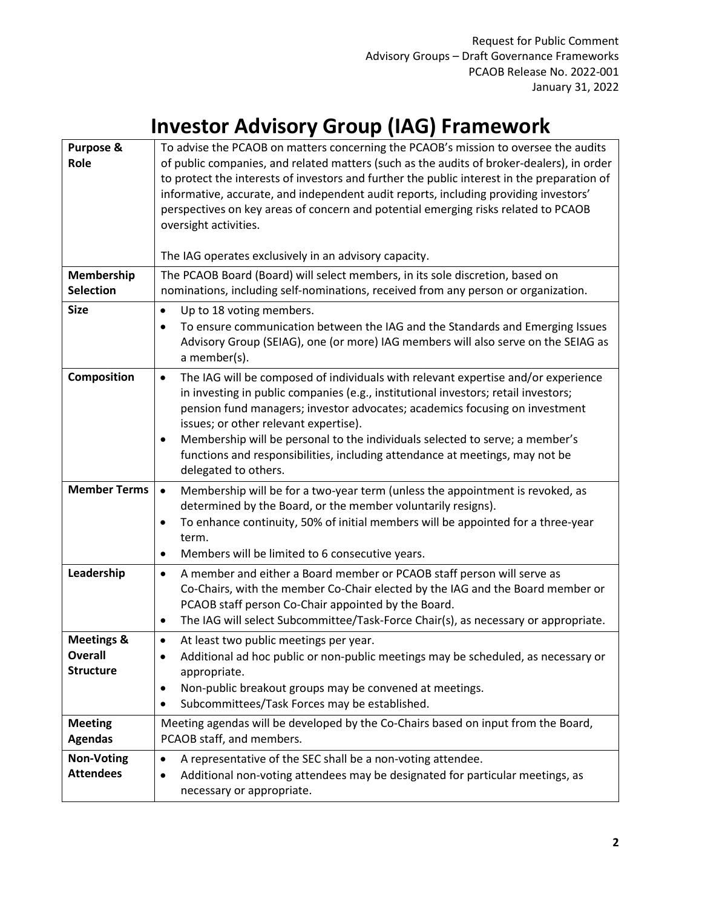## **Investor Advisory Group (IAG) Framework**

| <b>Purpose &amp;</b><br>Role                         | To advise the PCAOB on matters concerning the PCAOB's mission to oversee the audits<br>of public companies, and related matters (such as the audits of broker-dealers), in order<br>to protect the interests of investors and further the public interest in the preparation of<br>informative, accurate, and independent audit reports, including providing investors'<br>perspectives on key areas of concern and potential emerging risks related to PCAOB<br>oversight activities.                            |
|------------------------------------------------------|-------------------------------------------------------------------------------------------------------------------------------------------------------------------------------------------------------------------------------------------------------------------------------------------------------------------------------------------------------------------------------------------------------------------------------------------------------------------------------------------------------------------|
|                                                      | The IAG operates exclusively in an advisory capacity.                                                                                                                                                                                                                                                                                                                                                                                                                                                             |
| Membership<br><b>Selection</b>                       | The PCAOB Board (Board) will select members, in its sole discretion, based on<br>nominations, including self-nominations, received from any person or organization.                                                                                                                                                                                                                                                                                                                                               |
| <b>Size</b>                                          | Up to 18 voting members.<br>$\bullet$<br>To ensure communication between the IAG and the Standards and Emerging Issues<br>$\bullet$<br>Advisory Group (SEIAG), one (or more) IAG members will also serve on the SEIAG as<br>a member(s).                                                                                                                                                                                                                                                                          |
| Composition                                          | The IAG will be composed of individuals with relevant expertise and/or experience<br>$\bullet$<br>in investing in public companies (e.g., institutional investors; retail investors;<br>pension fund managers; investor advocates; academics focusing on investment<br>issues; or other relevant expertise).<br>Membership will be personal to the individuals selected to serve; a member's<br>$\bullet$<br>functions and responsibilities, including attendance at meetings, may not be<br>delegated to others. |
| <b>Member Terms</b>                                  | Membership will be for a two-year term (unless the appointment is revoked, as<br>$\bullet$<br>determined by the Board, or the member voluntarily resigns).<br>To enhance continuity, 50% of initial members will be appointed for a three-year<br>$\bullet$<br>term.<br>Members will be limited to 6 consecutive years.<br>$\bullet$                                                                                                                                                                              |
| Leadership                                           | A member and either a Board member or PCAOB staff person will serve as<br>$\bullet$<br>Co-Chairs, with the member Co-Chair elected by the IAG and the Board member or<br>PCAOB staff person Co-Chair appointed by the Board.<br>The IAG will select Subcommittee/Task-Force Chair(s), as necessary or appropriate.                                                                                                                                                                                                |
| <b>Meetings &amp;</b><br>Overall<br><b>Structure</b> | At least two public meetings per year.<br>$\bullet$<br>Additional ad hoc public or non-public meetings may be scheduled, as necessary or<br>٠<br>appropriate.<br>Non-public breakout groups may be convened at meetings.<br>٠<br>Subcommittees/Task Forces may be established.                                                                                                                                                                                                                                    |
| <b>Meeting</b><br><b>Agendas</b>                     | Meeting agendas will be developed by the Co-Chairs based on input from the Board,<br>PCAOB staff, and members.                                                                                                                                                                                                                                                                                                                                                                                                    |
| <b>Non-Voting</b><br><b>Attendees</b>                | A representative of the SEC shall be a non-voting attendee.<br>$\bullet$<br>Additional non-voting attendees may be designated for particular meetings, as<br>$\bullet$<br>necessary or appropriate.                                                                                                                                                                                                                                                                                                               |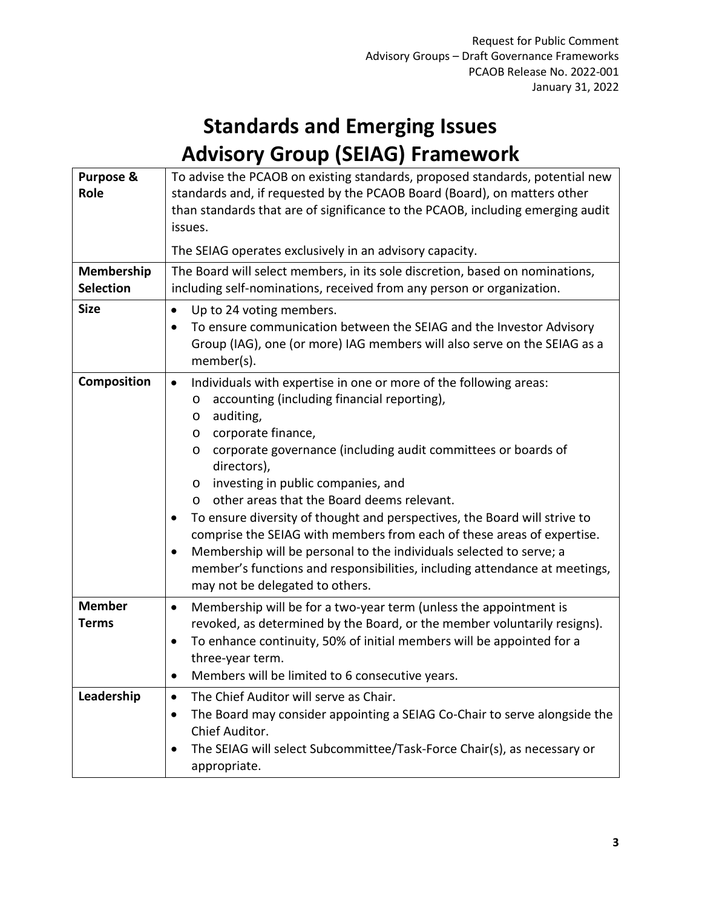## **Standards and Emerging Issues Advisory Group (SEIAG) Framework**

| <b>Purpose &amp;</b><br>Role<br>Membership<br><b>Selection</b> | To advise the PCAOB on existing standards, proposed standards, potential new<br>standards and, if requested by the PCAOB Board (Board), on matters other<br>than standards that are of significance to the PCAOB, including emerging audit<br>issues.<br>The SEIAG operates exclusively in an advisory capacity.<br>The Board will select members, in its sole discretion, based on nominations,<br>including self-nominations, received from any person or organization.                                                                                                                                                                                                                                                            |
|----------------------------------------------------------------|--------------------------------------------------------------------------------------------------------------------------------------------------------------------------------------------------------------------------------------------------------------------------------------------------------------------------------------------------------------------------------------------------------------------------------------------------------------------------------------------------------------------------------------------------------------------------------------------------------------------------------------------------------------------------------------------------------------------------------------|
| <b>Size</b>                                                    | Up to 24 voting members.<br>$\bullet$<br>To ensure communication between the SEIAG and the Investor Advisory<br>٠<br>Group (IAG), one (or more) IAG members will also serve on the SEIAG as a<br>member(s).                                                                                                                                                                                                                                                                                                                                                                                                                                                                                                                          |
| Composition                                                    | Individuals with expertise in one or more of the following areas:<br>$\bullet$<br>accounting (including financial reporting),<br>O<br>auditing,<br>O<br>corporate finance,<br>O<br>corporate governance (including audit committees or boards of<br>O<br>directors),<br>investing in public companies, and<br>O<br>other areas that the Board deems relevant.<br>$\circ$<br>To ensure diversity of thought and perspectives, the Board will strive to<br>comprise the SEIAG with members from each of these areas of expertise.<br>Membership will be personal to the individuals selected to serve; a<br>$\bullet$<br>member's functions and responsibilities, including attendance at meetings,<br>may not be delegated to others. |
| <b>Member</b><br><b>Terms</b>                                  | Membership will be for a two-year term (unless the appointment is<br>$\bullet$<br>revoked, as determined by the Board, or the member voluntarily resigns).<br>To enhance continuity, 50% of initial members will be appointed for a<br>$\bullet$<br>three-year term.<br>Members will be limited to 6 consecutive years.                                                                                                                                                                                                                                                                                                                                                                                                              |
| Leadership                                                     | The Chief Auditor will serve as Chair.<br>$\bullet$<br>The Board may consider appointing a SEIAG Co-Chair to serve alongside the<br>Chief Auditor.<br>The SEIAG will select Subcommittee/Task-Force Chair(s), as necessary or<br>appropriate.                                                                                                                                                                                                                                                                                                                                                                                                                                                                                        |